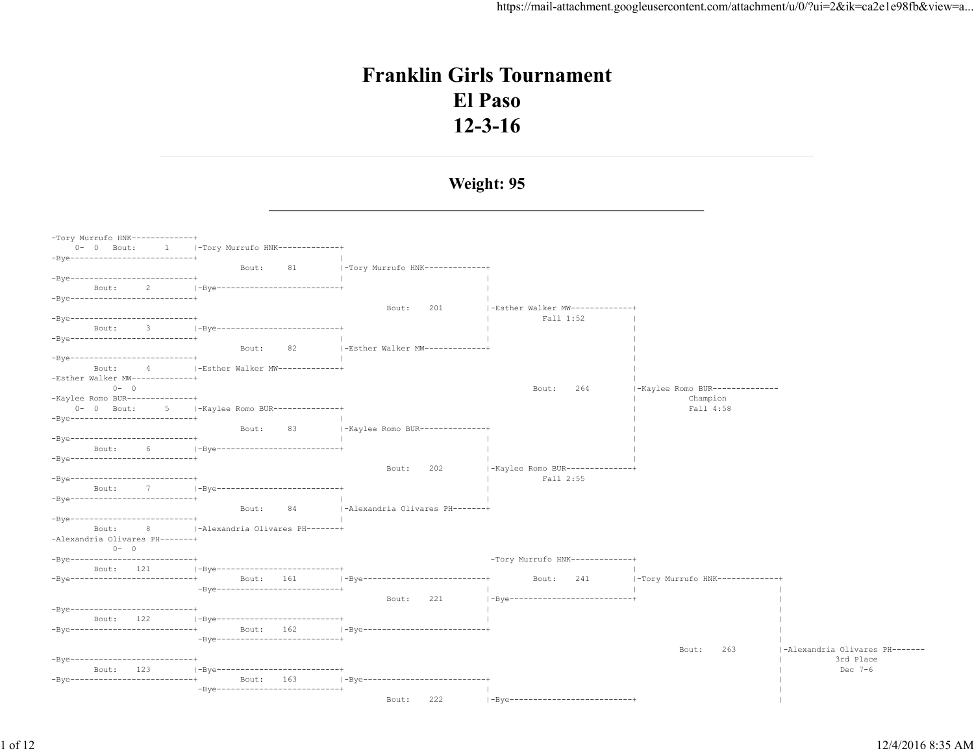# **Franklin Girls Tournament El Paso 12-3-16**

#### **Weight: 95**

<u> 1989 - Johann Stein, mars an deus Amerikaansk kommunister (</u>

| -Tory Murrufo HNK-------------+    |                                     |                                   |                                 |                                |                                |
|------------------------------------|-------------------------------------|-----------------------------------|---------------------------------|--------------------------------|--------------------------------|
| $0 - 0$ Bout:                      |                                     |                                   |                                 |                                |                                |
| -Bye--------------------------+    |                                     |                                   |                                 |                                |                                |
|                                    | 81<br>Bout:                         | -Tory Murrufo HNK------------+    |                                 |                                |                                |
| -Bye---------------------------+   |                                     |                                   |                                 |                                |                                |
| Bout:<br>2                         | -Bye---------------------------     |                                   |                                 |                                |                                |
| -Bye--------------------------+    |                                     |                                   |                                 |                                |                                |
|                                    |                                     | 201<br>Bout:                      | -Esther Walker MW-------------+ |                                |                                |
| -Bye--------------------------+    |                                     |                                   | Fall 1:52                       |                                |                                |
| Bout:<br>3                         | -Bye--------------------------+     |                                   |                                 |                                |                                |
| $-Bye$ --------------------------- |                                     |                                   |                                 |                                |                                |
|                                    | 82<br>Bout:                         | $ -Esther$ Walker MW------------+ |                                 |                                |                                |
| -Bye----------------------------   |                                     |                                   |                                 |                                |                                |
| Bout:<br>4                         | -Esther Walker MW-------------+     |                                   |                                 |                                |                                |
| -Esther Walker MW-------------+    |                                     |                                   |                                 |                                |                                |
| $0 - 0$                            |                                     |                                   | 264<br>Bout:                    | -Kaylee Romo BUR-------------- |                                |
| -Kaylee Romo BUR--------------+    |                                     |                                   |                                 | Champion                       |                                |
| $0 - 0$ Bout:                      | 5   -Kaylee Romo BUR--------------+ |                                   |                                 | Fall 4:58                      |                                |
| -Bye--------------------------+    |                                     |                                   |                                 |                                |                                |
|                                    | 83<br>Bout:                         | -Kaylee Romo BUR--------------+   |                                 |                                |                                |
| -Bve---------------------------    |                                     |                                   |                                 |                                |                                |
| 6<br>Bout:                         | -Bye---------------------------     |                                   |                                 |                                |                                |
| -Bye---------------------------+   |                                     |                                   |                                 |                                |                                |
|                                    |                                     | 202<br>Bout:                      | -Kaylee Romo BUR--------------+ |                                |                                |
| -Bye--------------------------+    |                                     |                                   | Fall 2:55                       |                                |                                |
| 7<br>Bout:                         | -Bye--------------------------+     |                                   |                                 |                                |                                |
| $-Bye \texttt{-----}$              |                                     |                                   |                                 |                                |                                |
|                                    | 84<br>Bout:                         | -Alexandria Olivares PH-------+   |                                 |                                |                                |
| -Bye---------------------------+   |                                     |                                   |                                 |                                |                                |
| 8<br>Bout:                         | -Alexandria Olivares PH-------+     |                                   |                                 |                                |                                |
| -Alexandria Olivares PH-------+    |                                     |                                   |                                 |                                |                                |
| $0 - 0$                            |                                     |                                   |                                 |                                |                                |
| -Bye--------------------------+    |                                     |                                   | -Tory Murrufo HNK-------------+ |                                |                                |
| Bout: 121                          | -Bye---------------------------     |                                   |                                 |                                |                                |
| -Bye--------------------------+    | Bout: 161                           | -Bye--------------------------+   | Bout:<br>241                    | -Tory Murrufo HNK------------+ |                                |
|                                    | $-Bve$ ---------------------------- |                                   |                                 |                                |                                |
|                                    |                                     | 221<br>Bout:                      | -Bye--------------------------- |                                |                                |
| -Bye--------------------------+    |                                     |                                   |                                 |                                |                                |
| Bout: 122                          | -Bye---------------------------+    |                                   |                                 |                                |                                |
| -Bye---------------------------+   | Bout: 162                           | -Bye---------------------------+  |                                 |                                |                                |
|                                    | -Bye----------------------------+   |                                   |                                 |                                |                                |
|                                    |                                     |                                   |                                 | Bout:<br>263                   | -Alexandria Olivares PH------- |
| -Bye---------------------------+   |                                     |                                   |                                 |                                | 3rd Place                      |
| 123<br>Bout:                       | -Bye--------------------------+     |                                   |                                 |                                | Dec 7-6                        |
| -Bve---------------------------    | Bout:<br>163                        | -Bye--------------------------+   |                                 |                                |                                |
|                                    | -Bye---------------------------+    |                                   |                                 |                                |                                |
|                                    |                                     | 222<br>Bout:                      | -Bye--------------------------  |                                |                                |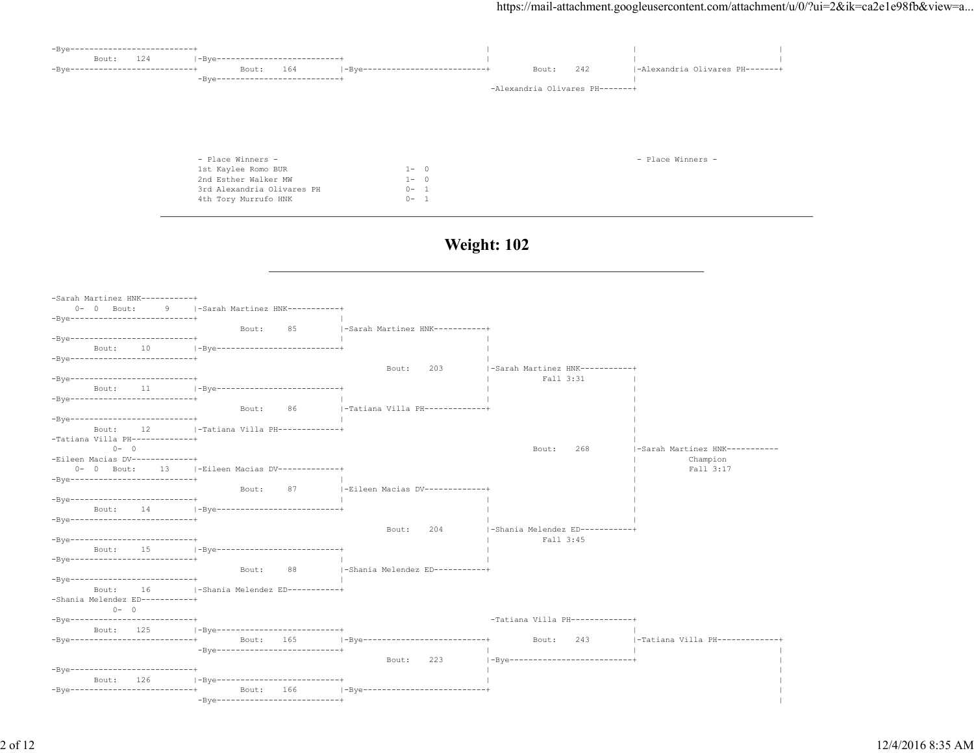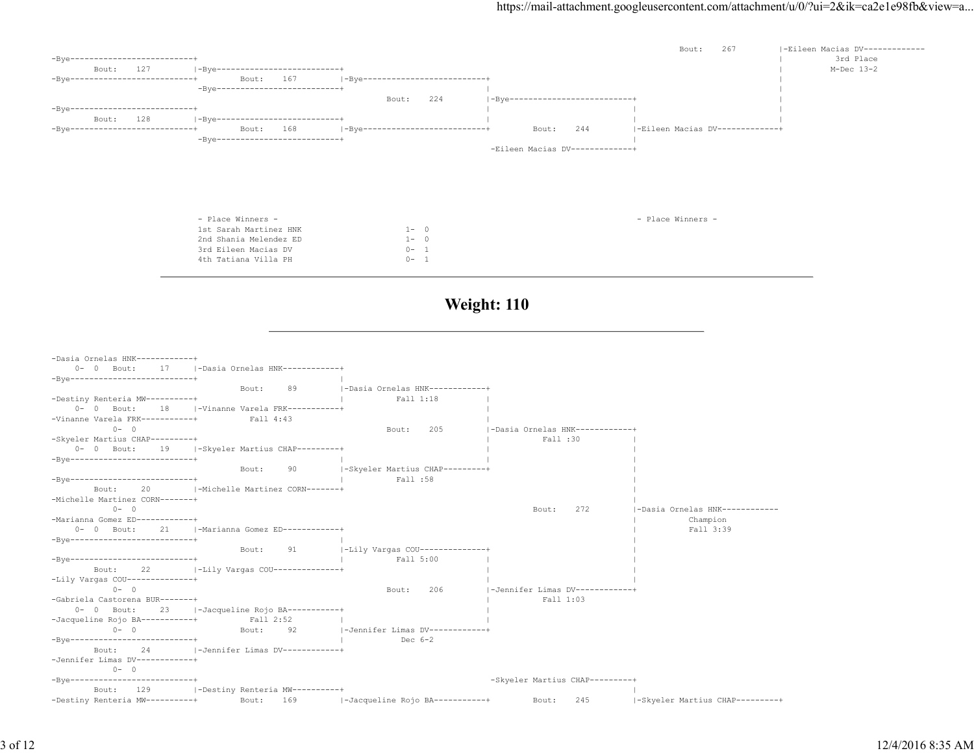

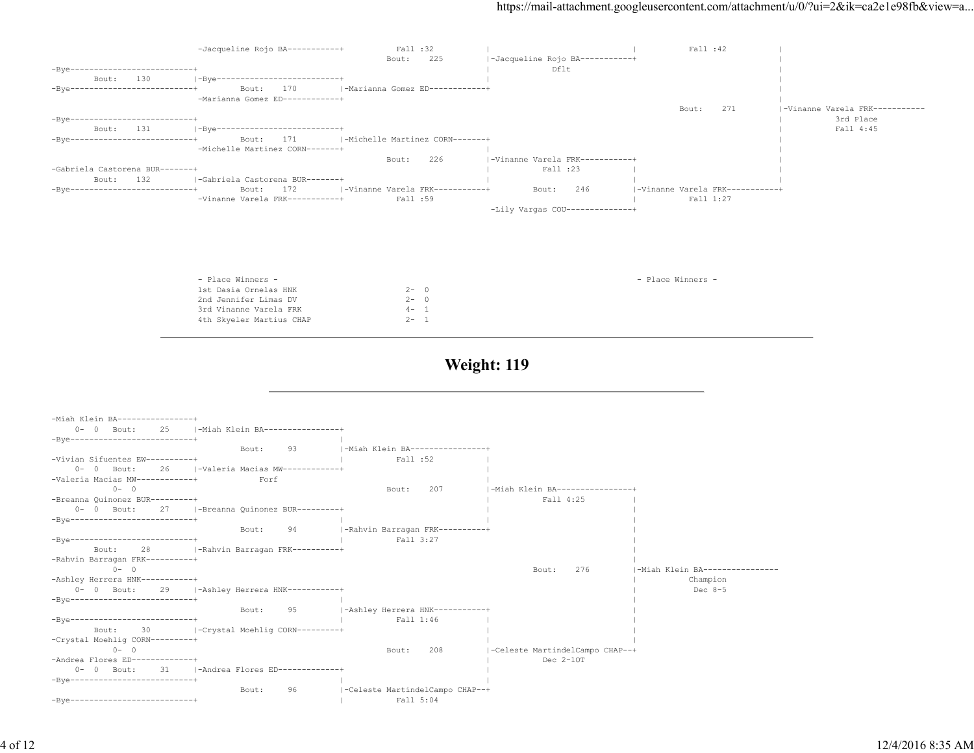|                                              | -Jacqueline Rojo BA-----------+                  | Fall :32                                    |                                   | Fall :42                        |                               |
|----------------------------------------------|--------------------------------------------------|---------------------------------------------|-----------------------------------|---------------------------------|-------------------------------|
|                                              |                                                  | Bout:<br>225                                | -Jacqueline Rojo BA-----------+   |                                 |                               |
| $-Bye$ ---------------------------           |                                                  |                                             | Dflt                              |                                 |                               |
| Bout: 130<br>-Bye--------------------------+ | -Bye--------------------------+<br>Bout:<br>170  | -Marianna Gomez ED-----------+              |                                   |                                 |                               |
|                                              | -Marianna Gomez ED-----------+                   |                                             |                                   |                                 |                               |
|                                              |                                                  |                                             |                                   | 271<br>Bout:                    | -Vinanne Varela FRK---------- |
| -Bye---------------------------              |                                                  |                                             |                                   |                                 | 3rd Place                     |
| Bout: 131                                    | -Bye--------------------------+                  |                                             |                                   |                                 | Fall 4:45                     |
| -Bye--------------------------+              | 171<br>Bout:<br>-Michelle Martinez CORN-------+  | -Michelle Martinez CORN-------+             |                                   |                                 |                               |
|                                              |                                                  | 226<br>Bout:                                | -Vinanne Varela FRK-----------+   |                                 |                               |
| -Gabriela Castorena BUR-------+              |                                                  |                                             | Fall :23                          |                                 |                               |
| Bout:<br>132                                 | -Gabriela Castorena BUR-------+                  |                                             |                                   |                                 |                               |
| -Bye--------------------------+              | 172<br>Bout:                                     | -Vinanne Varela FRK-----------+             | Bout:<br>246                      | -Vinanne Varela FRK-----------+ |                               |
|                                              | -Vinanne Varela FRK-----------+                  | Fall :59                                    |                                   | Fall 1:27                       |                               |
|                                              |                                                  |                                             | $-Lily$ Vargas COU--------------+ |                                 |                               |
|                                              |                                                  |                                             |                                   |                                 |                               |
|                                              | - Place Winners -                                |                                             |                                   | - Place Winners -               |                               |
|                                              | 1st Dasia Ornelas HNK<br>2nd Jennifer Limas DV   | $2 - 0$<br>$2 - 0$                          |                                   |                                 |                               |
|                                              | 3rd Vinanne Varela FRK                           | $4 - 1$                                     |                                   |                                 |                               |
|                                              | 4th Skyeler Martius CHAP                         | $2 - 1$                                     |                                   |                                 |                               |
|                                              |                                                  |                                             |                                   |                                 |                               |
|                                              |                                                  |                                             |                                   |                                 |                               |
| -Miah Klein BA----------------+              |                                                  |                                             |                                   |                                 |                               |
| $0 - 0$ Bout:<br>25                          | -Miah Klein BA----------------+                  |                                             |                                   |                                 |                               |
| $-Bye$ ----------------------------          |                                                  |                                             |                                   |                                 |                               |
| -Vivian Sifuentes EW----------+              | 93<br>Bout:                                      | -Miah Klein BA----------------+<br>Fall :52 |                                   |                                 |                               |
| $0 - 0$ Bout:<br>26                          | -Valeria Macias MW------------+                  |                                             |                                   |                                 |                               |
| -Valeria Macias MW------------+              | Forf                                             |                                             |                                   |                                 |                               |
| $0 - 0$                                      |                                                  | 207<br>Bout:                                | -Miah Klein BA----------------+   |                                 |                               |
| -Breanna Quinonez BUR---------+              |                                                  |                                             | Fall 4:25                         |                                 |                               |
| $-Bye-----1$                                 | 0- 0 Bout: 27   - Breanna Quinonez BUR---------+ |                                             |                                   |                                 |                               |
|                                              | Bout:<br>94                                      | -Rahvin Barragan FRK----------+             |                                   |                                 |                               |
| -Bye--------------------------+              |                                                  | Fall 3:27                                   |                                   |                                 |                               |
| 28<br>Bout:                                  | -Rahvin Barragan FRK----------+                  |                                             |                                   |                                 |                               |
| -Rahvin Barragan FRK----------+              |                                                  |                                             |                                   |                                 |                               |
| $0 - 0$                                      |                                                  |                                             | Bout:<br>276                      | -Miah Klein BA---------------   |                               |
| -Ashley Herrera HNK-----------+              | 0- 0 Bout: 29   - Ashley Herrera HNK-----------+ |                                             |                                   | Champion<br>Dec $8-5$           |                               |
| -Bye-------------------------+               |                                                  |                                             |                                   |                                 |                               |
|                                              | 95<br>Bout:                                      | -Ashley Herrera HNK-----------+             |                                   |                                 |                               |
| $-Bve------------------------------++$       |                                                  | Fall 1:46                                   |                                   |                                 |                               |
| 30<br>Bout:                                  | -Crystal Moehlig CORN---------+                  |                                             |                                   |                                 |                               |
| -Crystal Moehlig CORN---------+<br>$0 - 0$   |                                                  | 208<br>Bout:                                | -Celeste MartindelCampo CHAP--+   |                                 |                               |
| -Andrea Flores ED-------------+              |                                                  |                                             | $Dec 2-10T$                       |                                 |                               |
| $0 - 0$ Bout:<br>31                          | -Andrea Flores ED-------------+                  |                                             |                                   |                                 |                               |
| -Bye--------------------------+              |                                                  |                                             |                                   |                                 |                               |

Bout: 96 | -Celeste MartindelCampo CHAP--+<br>| Fall 5:04 -Bye--------------------------+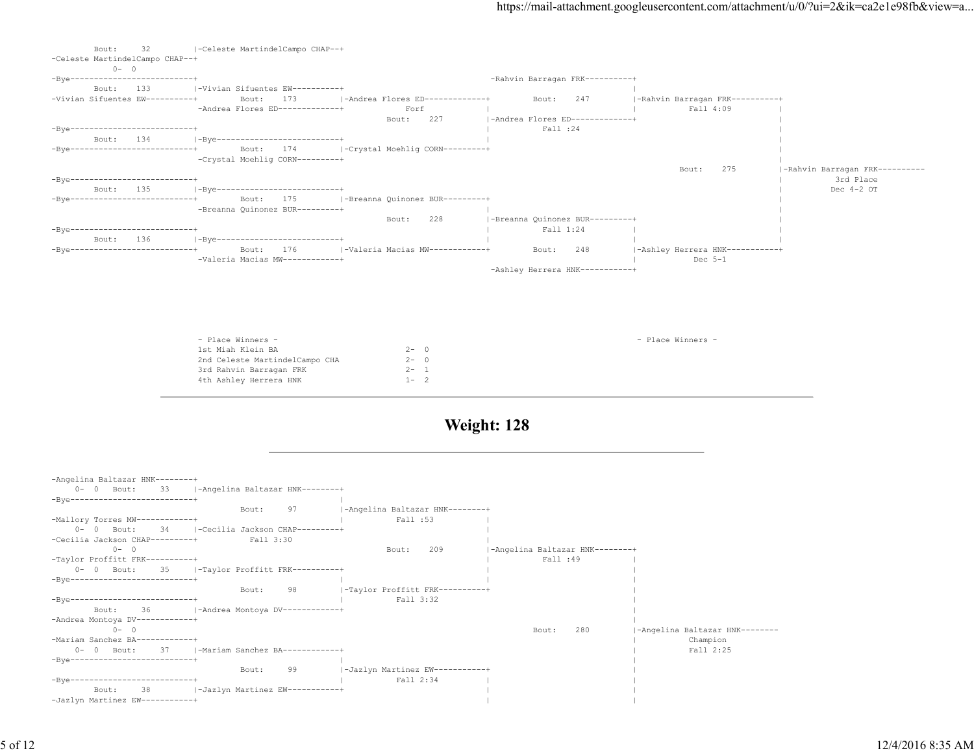| 32<br>Bout:<br>-Celeste MartindelCampo CHAP--+<br>$0 - 0$ | -Celeste MartindelCampo CHAP--+                 |                                    |                                 |                                              |                                |
|-----------------------------------------------------------|-------------------------------------------------|------------------------------------|---------------------------------|----------------------------------------------|--------------------------------|
| $-Bve--------------------------------+$                   |                                                 |                                    | -Rahvin Barragan FRK----------+ |                                              |                                |
| 133<br>Bout:                                              | I-Vivian Sifuentes EW----------+                |                                    |                                 |                                              |                                |
| -Vivian Sifuentes EW----------+                           | 173<br>Bout:                                    | -Andrea Flores ED-------------+    | 247<br>Bout:                    | -Rahvin Barragan FRK----------+              |                                |
|                                                           | -Andrea Flores ED-------------+                 | Forf                               |                                 | Fall 4:09                                    |                                |
|                                                           |                                                 | 227<br>Bout:                       | -Andrea Flores ED-------------+ |                                              |                                |
| -Bve---------------------------                           |                                                 |                                    | Fall :24                        |                                              |                                |
| 134<br>Bout:                                              | -Bye--------------------------+                 |                                    |                                 |                                              |                                |
| -Bve---------------------------                           | 174<br>Bout:                                    | - - Crystal Moehlig CORN---------+ |                                 |                                              |                                |
|                                                           | -Crystal Moehlig CORN---------+                 |                                    |                                 |                                              |                                |
|                                                           |                                                 |                                    |                                 | 275<br>Bout:                                 | -Rahvin Barragan FRK---------- |
| -Bve--------------------------+                           |                                                 |                                    |                                 |                                              | 3rd Place                      |
| 135<br>Bout:                                              | -Bye---------------------------+                |                                    |                                 |                                              | Dec $4-2$ OT                   |
| -Bve--------------------------+                           | 175<br>Bout:                                    | -Breanna Quinonez BUR---------+    |                                 |                                              |                                |
|                                                           | -Breanna Quinonez BUR---------+                 |                                    |                                 |                                              |                                |
|                                                           |                                                 | 228<br>Bout:                       | -Breanna Quinonez BUR---------+ |                                              |                                |
| -Bve---------------------------                           |                                                 |                                    | Fall 1:24                       |                                              |                                |
| 136<br>Bout:                                              | -Bye-------------------------+                  |                                    |                                 |                                              |                                |
| -Bve---------------------------                           | 176<br>Bout:<br>-Valeria Macias MW------------+ | I-Valeria Macias MW------------+   | 248<br>Bout:                    | -Ashley Herrera HNK-----------+<br>Dec $5-1$ |                                |
|                                                           |                                                 |                                    | -Ashley Herrera HNK-----------+ |                                              |                                |
|                                                           |                                                 |                                    |                                 |                                              |                                |
|                                                           |                                                 |                                    |                                 |                                              |                                |

| - Place Winners -              |         | - Place Winners - |
|--------------------------------|---------|-------------------|
| 1st Miah Klein BA              | $2 - 0$ |                   |
| 2nd Celeste MartindelCampo CHA | $2 - 0$ |                   |
| 3rd Rahvin Barragan FRK        | $2 - 1$ |                   |
| 4th Ashley Herrera HNK         | $1 - 2$ |                   |
|                                |         |                   |

| -Angelina Baltazar HNK--------+                         |                                 |                                 |                                |
|---------------------------------------------------------|---------------------------------|---------------------------------|--------------------------------|
| $0 - 0$ Bout:<br>33<br>-Angelina Baltazar HNK--------+  |                                 |                                 |                                |
| -Bve---------------------------                         |                                 |                                 |                                |
| 97<br>Bout:                                             | -Angelina Baltazar HNK--------+ |                                 |                                |
| -Mallory Torres MW------------+                         | Fall :53                        |                                 |                                |
| 34<br>$0 - 0$ Bout:<br> -Cecilia Jackson CHAP---------+ |                                 |                                 |                                |
| -Cecilia Jackson CHAP---------+<br>Fall 3:30            |                                 |                                 |                                |
| $0 - 0$                                                 | 209<br>Bout:                    | -Angelina Baltazar HNK--------+ |                                |
| -Taylor Proffitt FRK----------+                         |                                 | Fall :49                        |                                |
| 35<br>-Taylor Proffitt FRK----------+<br>$0 - 0$ Bout:  |                                 |                                 |                                |
| -Bve---------------------------+                        |                                 |                                 |                                |
| 98<br>Bout:                                             | -Taylor Proffitt FRK----------+ |                                 |                                |
| -Bve---------------------------                         | Fall 3:32                       |                                 |                                |
| -36<br> -Andrea Montoya DV-----------+<br>Bout:         |                                 |                                 |                                |
| -Andrea Montoya DV------------+                         |                                 |                                 |                                |
| $0 - 0$                                                 |                                 | 280<br>Bout:                    | -Angelina Baltazar HNK-------- |
| -Mariam Sanchez BA------------                          |                                 |                                 | Champion                       |
| 37<br> -Mariam Sanchez BA------------+<br>$0 - 0$ Bout: |                                 |                                 | Fall 2:25                      |
| -Bve---------------------------                         |                                 |                                 |                                |
| 99<br>Bout:                                             | -Jazlyn Martinez EW-----------+ |                                 |                                |
| -Bve---------------------------                         | Fall 2:34                       |                                 |                                |
| 38<br> -Jazlyn Martinez EW-----------+<br>Bout:         |                                 |                                 |                                |
| -Jazlyn Martinez EW-----------+                         |                                 |                                 |                                |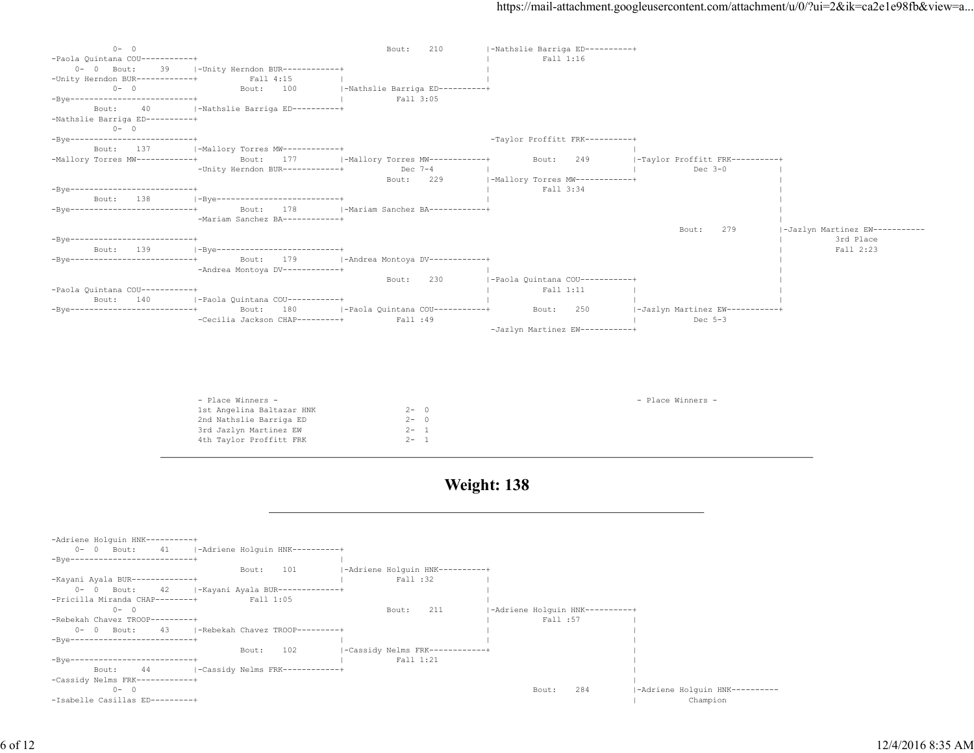| $0 - 0$                                  |                                                 | 210<br>Bout:                    | -Nathslie Barriga ED----------+ |                                 |                                |
|------------------------------------------|-------------------------------------------------|---------------------------------|---------------------------------|---------------------------------|--------------------------------|
| -Paola Quintana COU-----------+          |                                                 |                                 | Fall 1:16                       |                                 |                                |
| Bout:<br>39<br>$0 - 0$                   | -Unity Herndon BUR------------+                 |                                 |                                 |                                 |                                |
| -Unity Herndon BUR------------+          | Fall 4:15                                       |                                 |                                 |                                 |                                |
| $0 - 0$                                  | 100<br>Bout:                                    | -Nathslie Barriga ED----------+ |                                 |                                 |                                |
| -Bye--------------------------+          |                                                 | Fall 3:05                       |                                 |                                 |                                |
| Bout:                                    | -Nathslie Barriga ED----------+                 |                                 |                                 |                                 |                                |
| -Nathslie Barriga ED----------+          |                                                 |                                 |                                 |                                 |                                |
| $0 - 0$                                  |                                                 |                                 |                                 |                                 |                                |
| -Bye---------------------------          |                                                 |                                 | -Taylor Proffitt FRK----------+ |                                 |                                |
| 137<br>Bout:                             | -Mallory Torres MW------------+                 |                                 |                                 |                                 |                                |
| -Mallory Torres MW------------+          | 177<br>Bout:                                    | -Mallory Torres MW------------+ | 249<br>Bout:                    | -Taylor Proffitt FRK----------+ |                                |
|                                          | -Unity Herndon BUR------------+                 | Dec $7-4$                       |                                 | Dec $3-0$                       |                                |
|                                          |                                                 | 229<br>Bout:                    | -Mallory Torres MW------------+ |                                 |                                |
| -Bve---------------------------          |                                                 |                                 | Fall 3:34                       |                                 |                                |
| 138<br>Bout:                             | -Bye---------------------------                 |                                 |                                 |                                 |                                |
| -Bve---------------------------          | 178<br>Bout:                                    | -Mariam Sanchez BA------------+ |                                 |                                 |                                |
|                                          | -Mariam Sanchez BA------------+                 |                                 |                                 |                                 |                                |
|                                          |                                                 |                                 |                                 | 279<br>Bout:                    | -Jazlyn Martinez EW----------- |
| -Bve---------------------------<br>139   |                                                 |                                 |                                 |                                 | 3rd Place<br>Fall 2:23         |
| Bout:<br>-Bve--------------------------- | -Bye---------------------------<br>179<br>Bout: | -Andrea Montoya DV-----------+  |                                 |                                 |                                |
|                                          | -Andrea Montoya DV------------+                 |                                 |                                 |                                 |                                |
|                                          |                                                 | 230<br>Bout:                    | -Paola Quintana COU-----------+ |                                 |                                |
| -Paola Quintana COU-----------+          |                                                 |                                 | Fall 1:11                       |                                 |                                |
| 140<br>Bout:                             | -Paola Quintana COU-----------+                 |                                 |                                 |                                 |                                |
| -Bye---------------------------          | 180<br>Bout:                                    | -Paola Quintana COU-----------+ | Bout:<br>250                    | -Jazlyn Martinez EW-----------+ |                                |
|                                          | -Cecilia Jackson CHAP---------+                 | Fall :49                        |                                 | Dec $5-3$                       |                                |
|                                          |                                                 |                                 | -Jazlyn Martinez EW-----------+ |                                 |                                |

| - Place Winners -         |         | - Place Winners - |
|---------------------------|---------|-------------------|
| 1st Angelina Baltazar HNK | $2 - 0$ |                   |
| 2nd Nathslie Barriga ED   | $2 - 0$ |                   |
| 3rd Jazlyn Martinez EW    | $2 - 1$ |                   |
| 4th Taylor Proffitt FRK   | $2 - 1$ |                   |
|                           |         |                   |

| -Adriene Holquin HNK----------+        |       |                                       |           |                                 |                                 |          |                                |
|----------------------------------------|-------|---------------------------------------|-----------|---------------------------------|---------------------------------|----------|--------------------------------|
| $0 - 0$ Bout:                          |       | 41 - Adriene Holquin HNK----------+   |           |                                 |                                 |          |                                |
| -Bye--------------------------+        |       |                                       |           |                                 |                                 |          |                                |
|                                        | Bout: | 101                                   |           | -Adriene Holquin HNK----------+ |                                 |          |                                |
| -Kayani Ayala BUR-------------+        |       |                                       | Fall :32  |                                 |                                 |          |                                |
| $0 - 0$ Bout:                          |       | 42 -  -Kayani Ayala BUR-------------+ |           |                                 |                                 |          |                                |
| -Pricilla Miranda CHAP--------+        |       | Fall 1:05                             |           |                                 |                                 |          |                                |
| $\Omega$<br>$0 -$                      |       |                                       | Bout:     | 211                             | -Adriene Holquin HNK----------+ |          |                                |
| -Rebekah Chavez TROOP---------+        |       |                                       |           |                                 |                                 | Fall :57 |                                |
| $0 - 0$ Bout:                          |       | 43 - I-Rebekah Chavez TROOP---------+ |           |                                 |                                 |          |                                |
| $-Bve------------------------------++$ |       |                                       |           |                                 |                                 |          |                                |
|                                        | Bout: | 102                                   |           | -Cassidy Nelms FRK------------+ |                                 |          |                                |
| $-Bve------------------------------++$ |       |                                       | Fall 1:21 |                                 |                                 |          |                                |
| 44<br>Bout:                            |       | -Cassidy Nelms FRK------------+       |           |                                 |                                 |          |                                |
| -Cassidy Nelms FRK------------+        |       |                                       |           |                                 |                                 |          |                                |
| $0 -$<br>$\Omega$                      |       |                                       |           |                                 | Bout:                           | 284      | -Adriene Holquin HNK---------- |
| -Isabelle Casillas ED---------+        |       |                                       |           |                                 |                                 |          | Champion                       |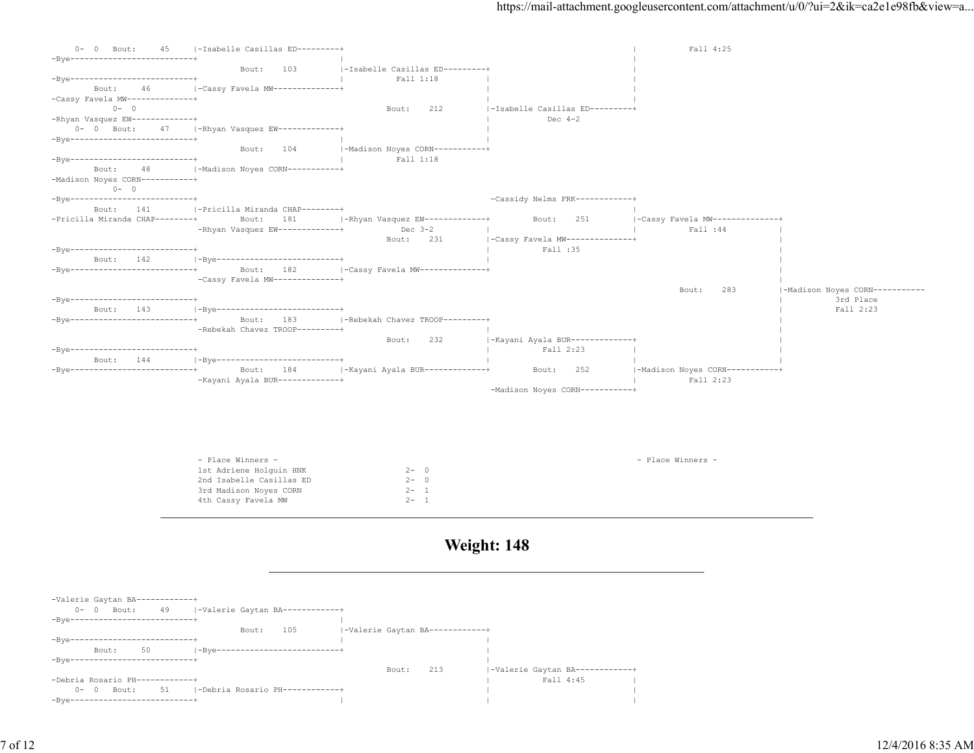| $0 - 0$ Bout:<br>45                        | -Isabelle Casillas ED---------+ |                                 |                                 | Fall 4:25                       |                                |
|--------------------------------------------|---------------------------------|---------------------------------|---------------------------------|---------------------------------|--------------------------------|
| -Bye--------------------------+            |                                 |                                 |                                 |                                 |                                |
|                                            | 103<br>Bout:                    | -Isabelle Casillas ED---------+ |                                 |                                 |                                |
| -Bye--------------------------+            |                                 | Fall 1:18                       |                                 |                                 |                                |
| 46<br>Bout:                                | -Cassy Favela MW--------------+ |                                 |                                 |                                 |                                |
| -Cassy Favela MW--------------+            |                                 |                                 |                                 |                                 |                                |
| $0 - 0$                                    |                                 | 212<br>Bout:                    | -Isabelle Casillas ED---------+ |                                 |                                |
| -Rhyan Vasquez EW-------------+            |                                 |                                 | Dec $4-2$                       |                                 |                                |
| $0 - 0$ Bout:<br>47                        | -Rhyan Vasquez EW------------+  |                                 |                                 |                                 |                                |
| -Bve--------------------------+            |                                 |                                 |                                 |                                 |                                |
|                                            | 104<br>Bout:                    | -Madison Noyes CORN----------+  |                                 |                                 |                                |
| -Bye--------------------------+            |                                 | Fall 1:18                       |                                 |                                 |                                |
| 48<br>Bout:                                | -Madison Noyes CORN-----------+ |                                 |                                 |                                 |                                |
| -Madison Noyes CORN-----------+<br>$0 - 0$ |                                 |                                 |                                 |                                 |                                |
| -Bye---------------------------+           |                                 |                                 | -Cassidy Nelms FRK------------+ |                                 |                                |
| 141<br>Bout:                               | -Pricilla Miranda CHAP--------+ |                                 |                                 |                                 |                                |
| -Pricilla Miranda CHAP--------+            | 181<br>Bout:                    | $ -Rhyan Vasquez EW---------+$  | 251<br>Bout:                    | -Cassy Favela MW--------------+ |                                |
|                                            | -Rhyan Vasquez EW-------------+ | Dec $3-2$                       |                                 | Fall :44                        |                                |
|                                            |                                 | 231<br>Bout:                    | -Cassy Favela MW--------------+ |                                 |                                |
| -Bye---------------------------+           |                                 |                                 | Fall :35                        |                                 |                                |
| Bout: 142                                  | -Bve--------------------------+ |                                 |                                 |                                 |                                |
| -Bye--------------------------+            | 182<br>Bout:                    | -Cassy Favela MW--------------+ |                                 |                                 |                                |
|                                            | -Cassy Favela MW--------------+ |                                 |                                 |                                 |                                |
|                                            |                                 |                                 |                                 | 283<br>Bout:                    | -Madison Noyes CORN----------- |
| -Bye--------------------------+            |                                 |                                 |                                 |                                 | 3rd Place                      |
| Bout: 143                                  | -Bye--------------------------- |                                 |                                 |                                 | Fall 2:23                      |
| -Bye---------------------------            | 183<br>Bout:                    | -Rebekah Chavez TROOP---------+ |                                 |                                 |                                |
|                                            | -Rebekah Chavez TROOP---------+ |                                 |                                 |                                 |                                |
|                                            |                                 | 232<br>Bout:                    | -Kayani Ayala BUR-------------+ |                                 |                                |
| -Bye---------------------------            |                                 |                                 | Fall 2:23                       |                                 |                                |
| 144<br>Bout:                               | -Bye--------------------------+ |                                 |                                 |                                 |                                |
| -Bye--------------------------+            | 184<br>Bout:                    | -Kayani Ayala BUR-------------+ | 252<br>Bout:                    | -Madison Noyes CORN-----------+ |                                |
|                                            | -Kayani Ayala BUR-------------+ |                                 |                                 | Fall 2:23                       |                                |
|                                            |                                 |                                 | -Madison Noyes CORN----------+  |                                 |                                |
|                                            |                                 |                                 |                                 |                                 |                                |
|                                            |                                 |                                 |                                 |                                 |                                |
|                                            |                                 |                                 |                                 |                                 |                                |
|                                            |                                 |                                 |                                 |                                 |                                |
|                                            |                                 |                                 |                                 |                                 |                                |
|                                            | - Place Winners -               |                                 |                                 | - Place Winners -               |                                |
|                                            | 1st Adriene Holguin HNK         | $2 - 0$                         |                                 |                                 |                                |
|                                            | 2nd Isabelle Casillas ED        | $2 - 0$                         |                                 |                                 |                                |
|                                            | 3rd Madison Noyes CORN          | $2 - 1$                         |                                 |                                 |                                |

**Weight: 148**

| -Valerie Gaytan BA-<br>$0 -$<br>$-Bve--$ | $\overline{0}$<br>Bout: | . <u>.</u> .<br>49 |                     |       | -Valerie Gaytan BA------------+ |                                |       |     |                     |  |
|------------------------------------------|-------------------------|--------------------|---------------------|-------|---------------------------------|--------------------------------|-------|-----|---------------------|--|
|                                          |                         |                    |                     | Bout: | 105                             | -Valerie Gaytan BA------------ |       |     |                     |  |
| $-Bve-$                                  |                         |                    |                     |       |                                 |                                |       |     |                     |  |
|                                          | Bout:                   | 50                 | $-$ Bve $-$         |       |                                 |                                |       |     |                     |  |
| $-Bve-$                                  | --------------------    |                    |                     |       |                                 |                                |       |     |                     |  |
|                                          |                         |                    |                     |       |                                 |                                | Bout: | 213 | -Valerie Gaytan BA- |  |
| -Debria Rosario PH-                      |                         | ---------+         |                     |       |                                 |                                |       |     | Fall 4:45           |  |
| $0 -$                                    | $\circ$<br>Bout:        | 51                 | -Debria Rosario PH- |       | ----------+                     |                                |       |     |                     |  |
| $-Bve-$                                  |                         |                    |                     |       |                                 |                                |       |     |                     |  |

4th Cassy Favela MW 2- 1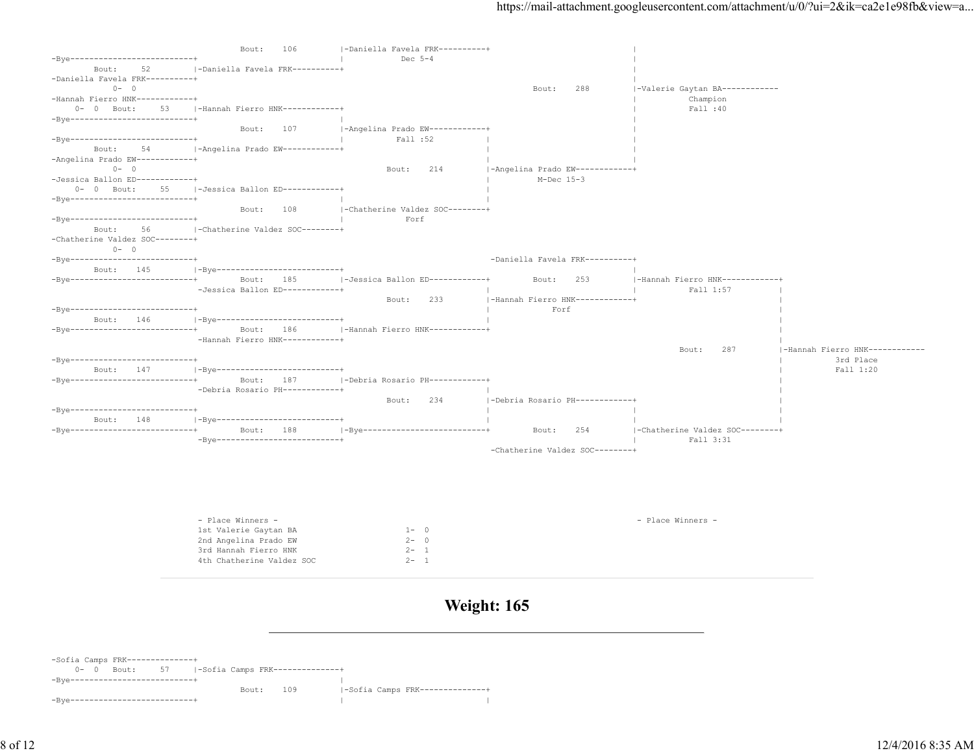|                                  | 106<br>Bout:                             | -Daniella Favela FRK----------+    |                                 |                                 |                                |
|----------------------------------|------------------------------------------|------------------------------------|---------------------------------|---------------------------------|--------------------------------|
| -Bye--------------------------+  |                                          | Dec $5-4$                          |                                 |                                 |                                |
| Bout:<br>52                      | -Daniella Favela FRK----------+          |                                    |                                 |                                 |                                |
| -Daniella Favela FRK----------+  |                                          |                                    |                                 |                                 |                                |
| $0 - 0$                          |                                          |                                    | 288<br>Bout:                    | -Valerie Gaytan BA-----------   |                                |
| -Hannah Fierro HNK------------+  |                                          |                                    |                                 | Champion                        |                                |
| $0 - 0$ Bout:<br>53              | -Hannah Fierro HNK------------+          |                                    |                                 | Fall :40                        |                                |
| -Bye---------------------------+ |                                          |                                    |                                 |                                 |                                |
|                                  | 107<br>Bout:                             | -Angelina Prado EW------------+    |                                 |                                 |                                |
| -Bye--------------------------+  |                                          | Fall :52                           |                                 |                                 |                                |
| Bout:<br>54                      | -Angelina Prado EW------------+          |                                    |                                 |                                 |                                |
| -Angelina Prado EW------------+  |                                          |                                    |                                 |                                 |                                |
| $0 - 0$                          |                                          | 214<br>Bout:                       | -Angelina Prado EW------------+ |                                 |                                |
| -Jessica Ballon ED------------+  |                                          |                                    | $M-Dec$ 15-3                    |                                 |                                |
| $0 - 0$ Bout:<br>55              | -Jessica Ballon ED------------+          |                                    |                                 |                                 |                                |
| -Bye--------------------------+  |                                          |                                    |                                 |                                 |                                |
|                                  | Bout:<br>108                             | -Chatherine Valdez SOC--------+    |                                 |                                 |                                |
| -Bye---------------------------  |                                          | Forf                               |                                 |                                 |                                |
| Bout:<br>56                      | -Chatherine Valdez SOC--------+          |                                    |                                 |                                 |                                |
| -Chatherine Valdez SOC--------+  |                                          |                                    |                                 |                                 |                                |
| $0 - 0$                          |                                          |                                    |                                 |                                 |                                |
| -Bye--------------------------+  |                                          |                                    | -Daniella Favela FRK----------+ |                                 |                                |
| Bout: 145                        | -Bye---------------------------+         |                                    |                                 |                                 |                                |
| -Bve---------------------------+ | Bout:<br>185                             | $ -Jessica$ Ballon ED------------+ | 253<br>Bout:                    | -Hannah Fierro HNK------------+ |                                |
|                                  | -Jessica Ballon ED------------+          |                                    |                                 | Fall 1:57                       |                                |
|                                  |                                          | 233<br>Bout:                       | -Hannah Fierro HNK------------+ |                                 |                                |
| -Bye--------------------------+  |                                          |                                    | Forf                            |                                 |                                |
| Bout: 146                        | -Bye----------------------------         |                                    |                                 |                                 |                                |
| -Bye---------------------------+ | 186<br>Bout:                             | -Hannah Fierro HNK------------+    |                                 |                                 |                                |
|                                  | -Hannah Fierro HNK------------+          |                                    |                                 |                                 |                                |
|                                  |                                          |                                    |                                 | 287<br>Bout:                    | -Hannah Fierro HNK------------ |
| -Bye---------------------------+ |                                          |                                    |                                 |                                 | 3rd Place                      |
| Bout: 147                        | -Bye---------------------------          |                                    |                                 |                                 | Fall 1:20                      |
| -Bye--------------------------+  | Bout:<br>187                             | -Debria Rosario PH-----------+     |                                 |                                 |                                |
|                                  | -Debria Rosario PH------------+          |                                    |                                 |                                 |                                |
|                                  |                                          | 234<br>Bout:                       | -Debria Rosario PH------------+ |                                 |                                |
| -Bye---------------------------  |                                          |                                    |                                 |                                 |                                |
| Bout:<br>148                     | -Bye---------------------------          |                                    |                                 |                                 |                                |
| -Bye--------------------------+  | 188<br>Bout:                             | -Bye--------------------------+    | 254<br>Bout:                    | -Chatherine Valdez SOC--------+ |                                |
|                                  | $-Bve---------------------------------+$ |                                    |                                 | Fall 3:31                       |                                |
|                                  |                                          |                                    | -Chatherine Valdez SOC--------+ |                                 |                                |
|                                  |                                          |                                    |                                 |                                 |                                |
|                                  |                                          |                                    |                                 |                                 |                                |
|                                  |                                          |                                    |                                 |                                 |                                |
|                                  |                                          |                                    |                                 |                                 |                                |
|                                  |                                          |                                    |                                 |                                 |                                |
|                                  |                                          |                                    |                                 |                                 |                                |
|                                  | - Place Winners -                        |                                    |                                 | - Place Winners -               |                                |

| - fiace winners -         |         | - Fiace Winners - |
|---------------------------|---------|-------------------|
| 1st Valerie Gaytan BA     | $1 - 0$ |                   |
| 2nd Angelina Prado EW     | $2 - 0$ |                   |
| 3rd Hannah Fierro HNK     | $2 - 1$ |                   |
| 4th Chatherine Valdez SOC | $2 - 1$ |                   |
|                           |         |                   |

**Weight: 165**

-Sofia Camps FRK--------------+ 0- 0 Bout: 57 |-Sofia Camps FRK--------------+ -Bye--------------------------+ | Bout: 109 |-Sofia Camps FRK---------------+ -Bye--------------------------+ | |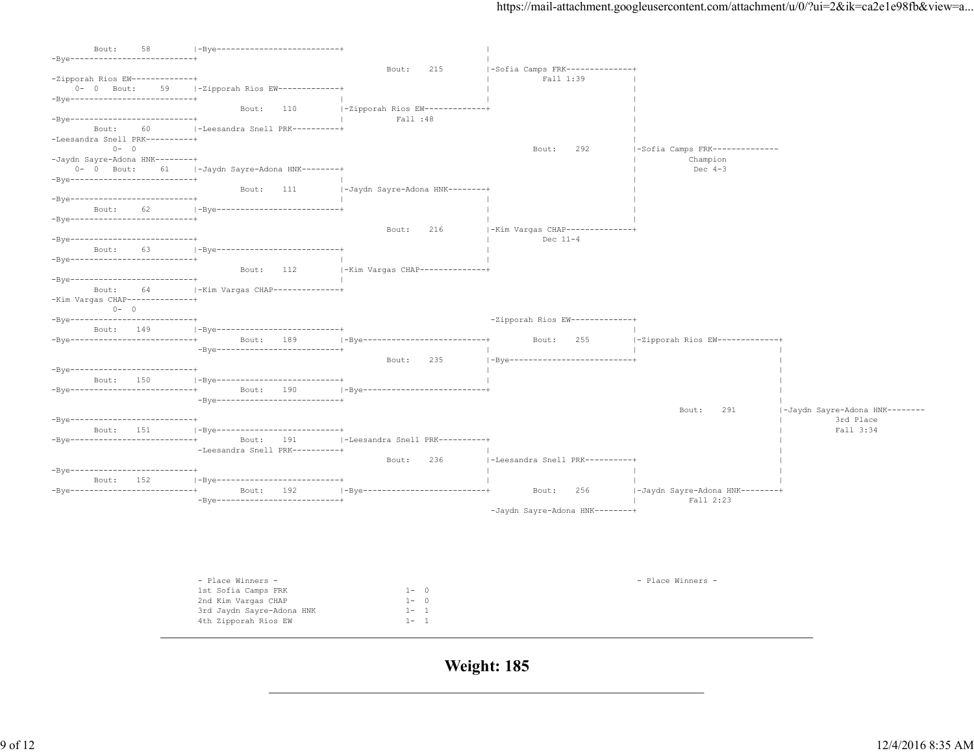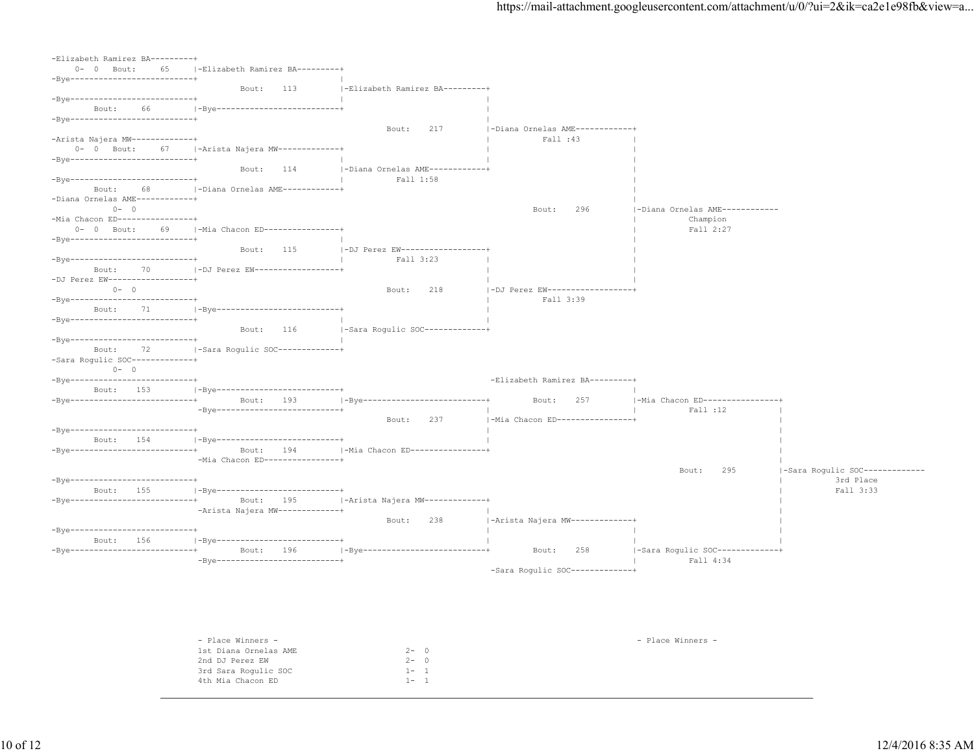| -Elizabeth Ramirez BA---------+                  |                                                  |                                 |                                 |                                    |                                |
|--------------------------------------------------|--------------------------------------------------|---------------------------------|---------------------------------|------------------------------------|--------------------------------|
| $0 - 0$ Bout:<br>65                              | -Elizabeth Ramirez BA---------+                  |                                 |                                 |                                    |                                |
| -Bye--------------------------+                  |                                                  |                                 |                                 |                                    |                                |
|                                                  | 113<br>Bout:                                     | -Elizabeth Ramirez BA---------+ |                                 |                                    |                                |
| -Bve---------------------------+                 |                                                  |                                 |                                 |                                    |                                |
| Bout:<br>66<br>-Bye---------------------------+  | -Bye---------------------------                  |                                 |                                 |                                    |                                |
|                                                  |                                                  | 217<br>Bout:                    | -Diana Ornelas AME-----------+  |                                    |                                |
| -Arista Najera MW-------------+                  |                                                  |                                 | Fall :43                        |                                    |                                |
|                                                  | 0- 0 Bout: 67   - Arista Najera MW-------------+ |                                 |                                 |                                    |                                |
| $-Bye$ ----------------------------              |                                                  |                                 |                                 |                                    |                                |
|                                                  | 114<br>Bout:                                     | -Diana Ornelas AME------------+ |                                 |                                    |                                |
| -Bye---------------------------                  |                                                  | Fall 1:58                       |                                 |                                    |                                |
| Bout:<br>68                                      | -Diana Ornelas AME------------+                  |                                 |                                 |                                    |                                |
| -Diana Ornelas AME------------+                  |                                                  |                                 |                                 |                                    |                                |
| $0 - 0$                                          |                                                  |                                 | 296<br>Bout:                    | -Diana Ornelas AME------------     |                                |
| -Mia Chacon ED----------------+<br>0- 0 Bout: 69 | -Mia Chacon ED----------------+                  |                                 |                                 | Champion<br>Fall 2:27              |                                |
| $-Bve-----------------------------+$             |                                                  |                                 |                                 |                                    |                                |
|                                                  | 115<br>Bout:                                     | -DJ Perez EW------------------- |                                 |                                    |                                |
| $-Bve-----------------------------+$             |                                                  | Fall 3:23                       |                                 |                                    |                                |
| Bout:<br>70                                      | -DJ Perez EW-------------------                  |                                 |                                 |                                    |                                |
| -DJ Perez EW-------------------+                 |                                                  |                                 |                                 |                                    |                                |
| $0 - 0$                                          |                                                  | Bout:<br>218                    | -DJ Perez EW------------------- |                                    |                                |
| -Bye--------------------------+                  |                                                  |                                 | Fall 3:39                       |                                    |                                |
| Bout:<br>71                                      | -Bye---------------------------                  |                                 |                                 |                                    |                                |
| -Bye--------------------------+                  |                                                  |                                 |                                 |                                    |                                |
| -Bye--------------------------+                  | Bout:<br>116                                     | -Sara Rogulic SOC-------------+ |                                 |                                    |                                |
| Bout:<br>72                                      | -Sara Rogulic SOC-------------+                  |                                 |                                 |                                    |                                |
| -Sara Rogulic SOC--------------+                 |                                                  |                                 |                                 |                                    |                                |
| $0 - 0$                                          |                                                  |                                 |                                 |                                    |                                |
| $-Bve$ ----------------------------              |                                                  |                                 | -Elizabeth Ramirez BA---------+ |                                    |                                |
| Bout: 153                                        | - 1-Bye---------------------------+              |                                 |                                 |                                    |                                |
| $-Bve------------------------------+$            | Bout: 193                                        | -Bye--------------------------+ | Bout:<br>257                    | -Mia Chacon ED----------------+    |                                |
|                                                  | -Bye---------------------------+                 |                                 |                                 | Fall :12                           |                                |
|                                                  |                                                  | 237<br>Bout:                    | -Mia Chacon ED----------------+ |                                    |                                |
| -Bye---------------------------+                 |                                                  |                                 |                                 |                                    |                                |
| Bout: 154<br>-Bye---------------------------+    | -Bye---------------------------+                 |                                 |                                 |                                    |                                |
|                                                  | Bout: 194<br>-Mia Chacon ED----------------+     | -Mia Chacon ED----------------+ |                                 |                                    |                                |
|                                                  |                                                  |                                 |                                 | 295<br>Bout:                       | -Sara Rogulic SOC------------- |
| -Bye---------------------------+                 |                                                  |                                 |                                 |                                    | 3rd Place                      |
| Bout: 155                                        | -Bye---------------------------+                 |                                 |                                 |                                    | Fall 3:33                      |
| -Bye--------------------------+                  | Bout:<br>195                                     | -Arista Najera MW-------------+ |                                 |                                    |                                |
|                                                  | -Arista Najera MW-------------+                  |                                 |                                 |                                    |                                |
|                                                  |                                                  | 238<br>Bout:                    | -Arista Najera MW-------------+ |                                    |                                |
| -Bye---------------------------+                 |                                                  |                                 |                                 |                                    |                                |
| Bout: 156                                        | -Bye---------------------------                  |                                 |                                 |                                    |                                |
| -Bye---------------------------+                 | Bout: 196<br>-Bye---------------------------+    | -Bye--------------------------+ | 258<br>Bout:                    | $ -$ Sara Roqulic SOC------------+ |                                |
|                                                  |                                                  |                                 | -Sara Rogulic SOC-------------+ | Fall 4:34                          |                                |
|                                                  |                                                  |                                 |                                 |                                    |                                |
|                                                  |                                                  |                                 |                                 |                                    |                                |

| - Place Winners -     |                    | - Place Winners - |
|-----------------------|--------------------|-------------------|
| 1st Diana Ornelas AME | $2 - 0$            |                   |
| 2nd DJ Perez EW       | $2 -$<br>$\circ$ 0 |                   |
| 3rd Sara Rogulic SOC  | $1 -$              |                   |
| 4th Mia Chacon ED     | $1 -$              |                   |
|                       |                    |                   |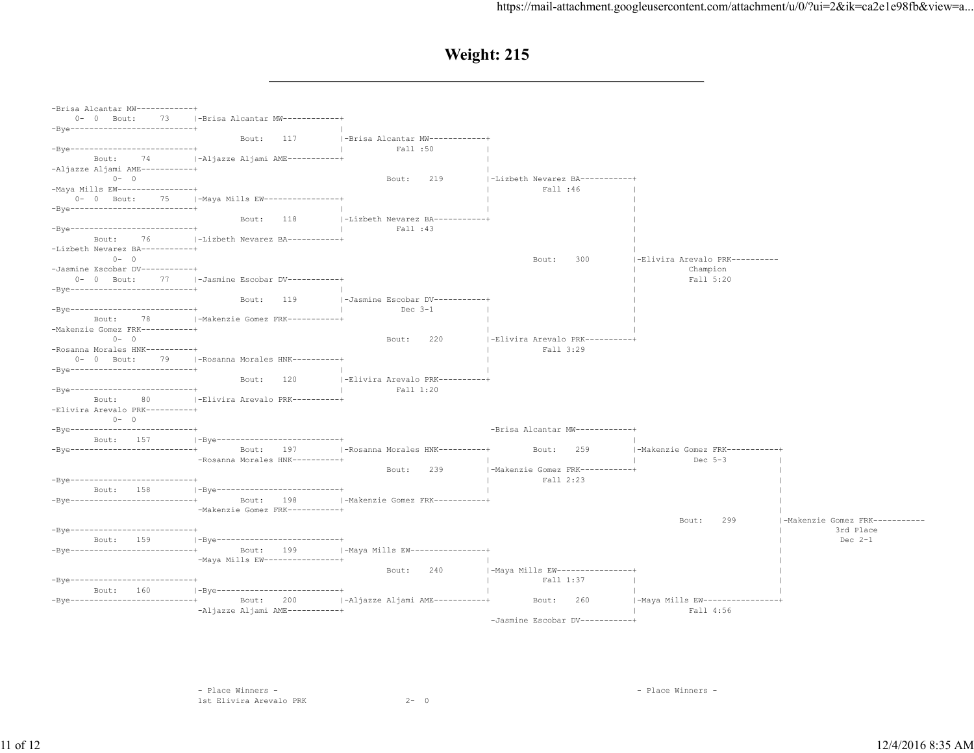| -Brisa Alcantar MW------------+                  |                                                 |                                 |                                 |                                 |                               |
|--------------------------------------------------|-------------------------------------------------|---------------------------------|---------------------------------|---------------------------------|-------------------------------|
| $0 - 0$ Bout:                                    | 73 -  -Brisa Alcantar MW------------+           |                                 |                                 |                                 |                               |
| $-Bve--------------------------+$                |                                                 |                                 |                                 |                                 |                               |
|                                                  | 117<br>Bout:                                    | -Brisa Alcantar MW------------+ |                                 |                                 |                               |
| -Bye---------------------------+                 |                                                 | Fall :50                        |                                 |                                 |                               |
| 74<br>Bout:                                      | -Aljazze Aljami AME-----------+                 |                                 |                                 |                                 |                               |
| -Aljazze Aljami AME-----------+<br>$0 - 0$       |                                                 | 219                             | -Lizbeth Nevarez BA-----------+ |                                 |                               |
| -Maya Mills EW----------------+                  |                                                 | Bout:                           | Fall :46                        |                                 |                               |
| 75<br>$0 - 0$ Bout:                              | -Maya Mills EW----------------+                 |                                 |                                 |                                 |                               |
| -Bye---------------------------+                 |                                                 |                                 |                                 |                                 |                               |
|                                                  | Bout:<br>118                                    | -Lizbeth Nevarez BA-----------+ |                                 |                                 |                               |
| -Bye---------------------------+                 |                                                 | Fall :43                        |                                 |                                 |                               |
| Bout:<br>76                                      | -Lizbeth Nevarez BA-----------+                 |                                 |                                 |                                 |                               |
| -Lizbeth Nevarez BA-----------+                  |                                                 |                                 |                                 |                                 |                               |
| $0 - 0$                                          |                                                 |                                 | 300<br>Bout:                    | -Elivira Arevalo PRK----------  |                               |
| -Jasmine Escobar DV-----------+                  |                                                 |                                 |                                 | Champion                        |                               |
| $0 - 0$ Bout:<br>77                              | -Jasmine Escobar DV-----------+                 |                                 |                                 | Fall 5:20                       |                               |
| $-Bve------------------------------++$           |                                                 |                                 |                                 |                                 |                               |
|                                                  | 119<br>Bout:                                    | -Jasmine Escobar DV-----------+ |                                 |                                 |                               |
| $-Bve--------------------------------+$          |                                                 | Dec $3-1$                       |                                 |                                 |                               |
| 78<br>Bout:                                      | -Makenzie Gomez FRK----------+                  |                                 |                                 |                                 |                               |
| -Makenzie Gomez FRK-----------+                  |                                                 |                                 |                                 |                                 |                               |
| $0 - 0$                                          |                                                 | 220<br>Bout:                    | -Elivira Arevalo PRK----------+ |                                 |                               |
| -Rosanna Morales HNK----------+                  |                                                 |                                 | Fall 3:29                       |                                 |                               |
| $0 - 0$ Bout:                                    | 79   -Rosanna Morales HNK----------+            |                                 |                                 |                                 |                               |
| -Bye---------------------------+                 |                                                 |                                 |                                 |                                 |                               |
|                                                  | Bout:<br>120                                    | -Elivira Arevalo PRK----------+ |                                 |                                 |                               |
| -Bye--------------------------+                  |                                                 | Fall 1:20                       |                                 |                                 |                               |
| 80<br>Bout:                                      | -Elivira Arevalo PRK----------+                 |                                 |                                 |                                 |                               |
| -Elivira Arevalo PRK----------+                  |                                                 |                                 |                                 |                                 |                               |
| $0 - 0$                                          |                                                 |                                 |                                 |                                 |                               |
| -Bye--------------------------+                  |                                                 |                                 | -Brisa Alcantar MW------------+ |                                 |                               |
| Bout: 157<br>$-Bye$ ---------------------------- | -Bye--------------------------+                 | -Rosanna Morales HNK----------+ |                                 | -Makenzie Gomez FRK-----------+ |                               |
|                                                  | 197<br>Bout:<br>-Rosanna Morales HNK----------+ |                                 | 259<br>Bout:                    | Dec $5-3$                       |                               |
|                                                  |                                                 | Bout:<br>239                    | -Makenzie Gomez FRK-----------+ |                                 |                               |
| -Bye----------------------------                 |                                                 |                                 | Fall 2:23                       |                                 |                               |
| Bout: 158                                        | -Bye---------------------------+                |                                 |                                 |                                 |                               |
| $-Bve------------------------------+$            | Bout: 198                                       | -Makenzie Gomez FRK-----------+ |                                 |                                 |                               |
|                                                  | -Makenzie Gomez FRK-----------+                 |                                 |                                 |                                 |                               |
|                                                  |                                                 |                                 |                                 | Bout:<br>299                    | -Makenzie Gomez FRK---------- |
| -Bye--------------------------+                  |                                                 |                                 |                                 |                                 | 3rd Place                     |
| Bout: 159                                        | -Bye--------------------------+                 |                                 |                                 |                                 | Dec $2-1$                     |
| $-Bve-----------------------------+$             | 199<br>Bout:                                    | -Maya Mills EW---------------+  |                                 |                                 |                               |
|                                                  | -Maya Mills EW-----------------+                |                                 |                                 |                                 |                               |
|                                                  |                                                 | 240<br>Bout:                    | -Maya Mills EW----------------+ |                                 |                               |
| -Bye--------------------------+                  |                                                 |                                 | Fall 1:37                       |                                 |                               |
| 160<br>Bout:                                     | -Bye---------------------------                 |                                 |                                 |                                 |                               |
| -Bye----------------------------                 | 200<br>Bout:                                    | -Aljazze Aljami AME-----------+ | 260<br>Bout:                    | -Maya Mills EW----------------+ |                               |
|                                                  | -Aljazze Aljami AME-----------+                 |                                 |                                 | Fall 4:56                       |                               |
|                                                  |                                                 |                                 | -Jasmine Escobar DV-----------+ |                                 |                               |

 - Place Winners - - Place Winners - 1st Elivira Arevalo PRK